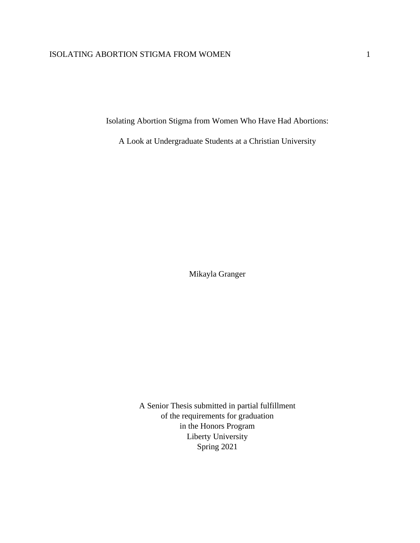Isolating Abortion Stigma from Women Who Have Had Abortions:

A Look at Undergraduate Students at a Christian University

Mikayla Granger

A Senior Thesis submitted in partial fulfillment of the requirements for graduation in the Honors Program Liberty University Spring 2021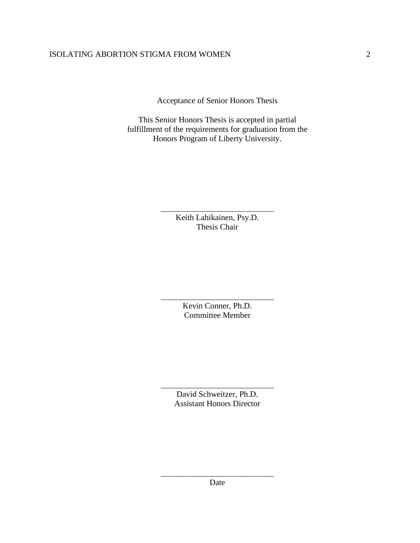Acceptance of Senior Honors Thesis

This Senior Honors Thesis is accepted in partial fulfillment of the requirements for graduation from the Honors Program of Liberty University.

> \_\_\_\_\_\_\_\_\_\_\_\_\_\_\_\_\_\_\_\_\_\_\_\_\_\_\_\_\_\_ Keith Lahikainen, Psy.D. Thesis Chair

> \_\_\_\_\_\_\_\_\_\_\_\_\_\_\_\_\_\_\_\_\_\_\_\_\_\_\_\_\_\_ Kevin Conner, Ph.D. Committee Member

> > David Schweitzer, Ph.D. Assistant Honors Director

\_\_\_\_\_\_\_\_\_\_\_\_\_\_\_\_\_\_\_\_\_\_\_\_\_\_\_\_\_\_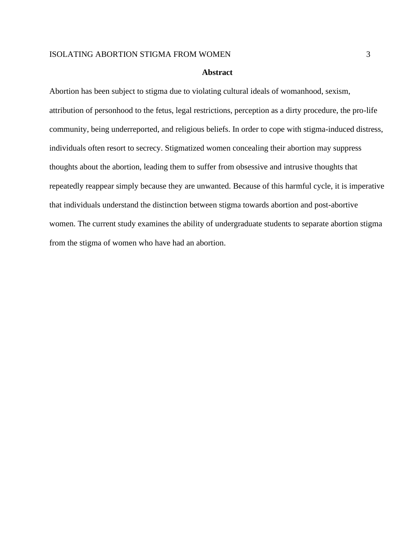#### **Abstract**

Abortion has been subject to stigma due to violating cultural ideals of womanhood, sexism, attribution of personhood to the fetus, legal restrictions, perception as a dirty procedure, the pro-life community, being underreported, and religious beliefs. In order to cope with stigma-induced distress, individuals often resort to secrecy. Stigmatized women concealing their abortion may suppress thoughts about the abortion, leading them to suffer from obsessive and intrusive thoughts that repeatedly reappear simply because they are unwanted. Because of this harmful cycle, it is imperative that individuals understand the distinction between stigma towards abortion and post-abortive women. The current study examines the ability of undergraduate students to separate abortion stigma from the stigma of women who have had an abortion.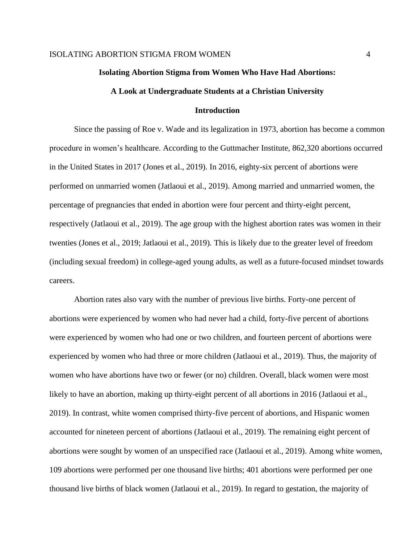#### **Isolating Abortion Stigma from Women Who Have Had Abortions:**

## **A Look at Undergraduate Students at a Christian University**

## **Introduction**

Since the passing of Roe v. Wade and its legalization in 1973, abortion has become a common procedure in women's healthcare. According to the Guttmacher Institute, 862,320 abortions occurred in the United States in 2017 (Jones et al., 2019). In 2016, eighty-six percent of abortions were performed on unmarried women (Jatlaoui et al., 2019). Among married and unmarried women, the percentage of pregnancies that ended in abortion were four percent and thirty-eight percent, respectively (Jatlaoui et al., 2019). The age group with the highest abortion rates was women in their twenties (Jones et al., 2019; Jatlaoui et al., 2019)*.* This is likely due to the greater level of freedom (including sexual freedom) in college-aged young adults, as well as a future-focused mindset towards careers.

Abortion rates also vary with the number of previous live births. Forty-one percent of abortions were experienced by women who had never had a child, forty-five percent of abortions were experienced by women who had one or two children, and fourteen percent of abortions were experienced by women who had three or more children (Jatlaoui et al., 2019). Thus, the majority of women who have abortions have two or fewer (or no) children. Overall, black women were most likely to have an abortion, making up thirty-eight percent of all abortions in 2016 (Jatlaoui et al., 2019). In contrast, white women comprised thirty-five percent of abortions, and Hispanic women accounted for nineteen percent of abortions (Jatlaoui et al., 2019). The remaining eight percent of abortions were sought by women of an unspecified race (Jatlaoui et al., 2019). Among white women, 109 abortions were performed per one thousand live births; 401 abortions were performed per one thousand live births of black women (Jatlaoui et al., 2019). In regard to gestation, the majority of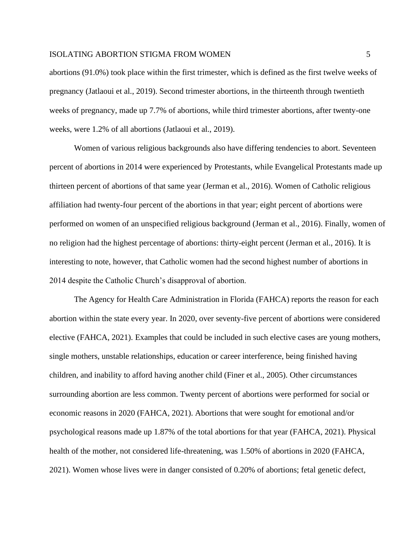abortions (91.0%) took place within the first trimester, which is defined as the first twelve weeks of pregnancy (Jatlaoui et al., 2019). Second trimester abortions, in the thirteenth through twentieth weeks of pregnancy, made up 7.7% of abortions, while third trimester abortions, after twenty-one weeks, were 1.2% of all abortions (Jatlaoui et al., 2019).

Women of various religious backgrounds also have differing tendencies to abort. Seventeen percent of abortions in 2014 were experienced by Protestants, while Evangelical Protestants made up thirteen percent of abortions of that same year (Jerman et al., 2016). Women of Catholic religious affiliation had twenty-four percent of the abortions in that year; eight percent of abortions were performed on women of an unspecified religious background (Jerman et al., 2016). Finally, women of no religion had the highest percentage of abortions: thirty-eight percent (Jerman et al., 2016). It is interesting to note, however, that Catholic women had the second highest number of abortions in 2014 despite the Catholic Church's disapproval of abortion.

The Agency for Health Care Administration in Florida (FAHCA) reports the reason for each abortion within the state every year. In 2020, over seventy-five percent of abortions were considered elective (FAHCA, 2021). Examples that could be included in such elective cases are young mothers, single mothers, unstable relationships, education or career interference, being finished having children, and inability to afford having another child (Finer et al., 2005). Other circumstances surrounding abortion are less common. Twenty percent of abortions were performed for social or economic reasons in 2020 (FAHCA, 2021). Abortions that were sought for emotional and/or psychological reasons made up 1.87% of the total abortions for that year (FAHCA, 2021). Physical health of the mother, not considered life-threatening, was 1.50% of abortions in 2020 (FAHCA, 2021). Women whose lives were in danger consisted of 0.20% of abortions; fetal genetic defect,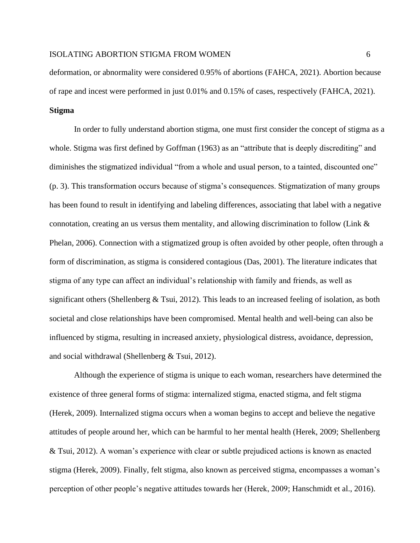deformation, or abnormality were considered 0.95% of abortions (FAHCA, 2021). Abortion because of rape and incest were performed in just 0.01% and 0.15% of cases, respectively (FAHCA, 2021). **Stigma**

In order to fully understand abortion stigma, one must first consider the concept of stigma as a whole. Stigma was first defined by Goffman (1963) as an "attribute that is deeply discrediting" and diminishes the stigmatized individual "from a whole and usual person, to a tainted, discounted one" (p. 3). This transformation occurs because of stigma's consequences. Stigmatization of many groups has been found to result in identifying and labeling differences, associating that label with a negative connotation, creating an us versus them mentality, and allowing discrimination to follow (Link & Phelan, 2006). Connection with a stigmatized group is often avoided by other people, often through a form of discrimination, as stigma is considered contagious (Das, 2001). The literature indicates that stigma of any type can affect an individual's relationship with family and friends, as well as significant others (Shellenberg & Tsui, 2012). This leads to an increased feeling of isolation, as both societal and close relationships have been compromised. Mental health and well-being can also be influenced by stigma, resulting in increased anxiety, physiological distress, avoidance, depression, and social withdrawal (Shellenberg & Tsui, 2012).

Although the experience of stigma is unique to each woman, researchers have determined the existence of three general forms of stigma: internalized stigma, enacted stigma, and felt stigma (Herek, 2009). Internalized stigma occurs when a woman begins to accept and believe the negative attitudes of people around her, which can be harmful to her mental health (Herek, 2009; Shellenberg & Tsui, 2012). A woman's experience with clear or subtle prejudiced actions is known as enacted stigma (Herek, 2009). Finally, felt stigma, also known as perceived stigma, encompasses a woman's perception of other people's negative attitudes towards her (Herek, 2009; Hanschmidt et al., 2016).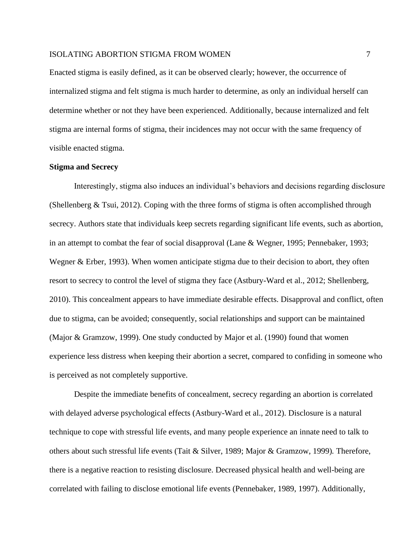Enacted stigma is easily defined, as it can be observed clearly; however, the occurrence of internalized stigma and felt stigma is much harder to determine, as only an individual herself can determine whether or not they have been experienced. Additionally, because internalized and felt stigma are internal forms of stigma, their incidences may not occur with the same frequency of visible enacted stigma.

## **Stigma and Secrecy**

Interestingly, stigma also induces an individual's behaviors and decisions regarding disclosure (Shellenberg & Tsui, 2012). Coping with the three forms of stigma is often accomplished through secrecy. Authors state that individuals keep secrets regarding significant life events, such as abortion, in an attempt to combat the fear of social disapproval (Lane & Wegner, 1995; Pennebaker, 1993; Wegner & Erber, 1993). When women anticipate stigma due to their decision to abort, they often resort to secrecy to control the level of stigma they face (Astbury-Ward et al., 2012; Shellenberg, 2010). This concealment appears to have immediate desirable effects. Disapproval and conflict, often due to stigma, can be avoided; consequently, social relationships and support can be maintained (Major & Gramzow, 1999). One study conducted by Major et al. (1990) found that women experience less distress when keeping their abortion a secret, compared to confiding in someone who is perceived as not completely supportive.

Despite the immediate benefits of concealment, secrecy regarding an abortion is correlated with delayed adverse psychological effects (Astbury-Ward et al., 2012). Disclosure is a natural technique to cope with stressful life events, and many people experience an innate need to talk to others about such stressful life events (Tait & Silver, 1989; Major & Gramzow, 1999)*.* Therefore, there is a negative reaction to resisting disclosure. Decreased physical health and well-being are correlated with failing to disclose emotional life events (Pennebaker, 1989, 1997). Additionally,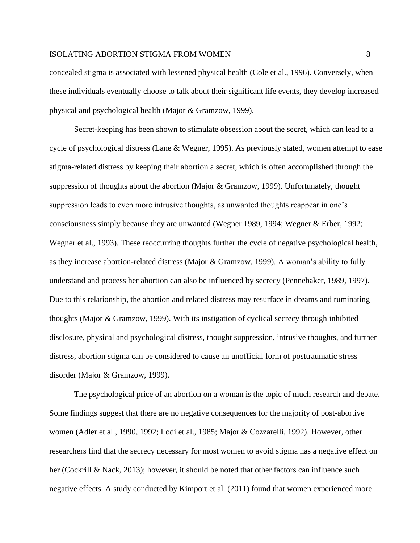concealed stigma is associated with lessened physical health (Cole et al., 1996). Conversely, when these individuals eventually choose to talk about their significant life events, they develop increased physical and psychological health (Major & Gramzow, 1999).

Secret-keeping has been shown to stimulate obsession about the secret, which can lead to a cycle of psychological distress (Lane & Wegner, 1995). As previously stated, women attempt to ease stigma-related distress by keeping their abortion a secret, which is often accomplished through the suppression of thoughts about the abortion (Major & Gramzow, 1999). Unfortunately, thought suppression leads to even more intrusive thoughts, as unwanted thoughts reappear in one's consciousness simply because they are unwanted (Wegner 1989, 1994; Wegner & Erber, 1992; Wegner et al., 1993). These reoccurring thoughts further the cycle of negative psychological health, as they increase abortion-related distress (Major & Gramzow, 1999). A woman's ability to fully understand and process her abortion can also be influenced by secrecy (Pennebaker, 1989, 1997). Due to this relationship, the abortion and related distress may resurface in dreams and ruminating thoughts (Major & Gramzow, 1999). With its instigation of cyclical secrecy through inhibited disclosure, physical and psychological distress, thought suppression, intrusive thoughts, and further distress, abortion stigma can be considered to cause an unofficial form of posttraumatic stress disorder (Major & Gramzow, 1999).

The psychological price of an abortion on a woman is the topic of much research and debate. Some findings suggest that there are no negative consequences for the majority of post-abortive women (Adler et al., 1990, 1992; Lodi et al., 1985; Major & Cozzarelli, 1992). However, other researchers find that the secrecy necessary for most women to avoid stigma has a negative effect on her (Cockrill & Nack, 2013); however, it should be noted that other factors can influence such negative effects. A study conducted by Kimport et al. (2011) found that women experienced more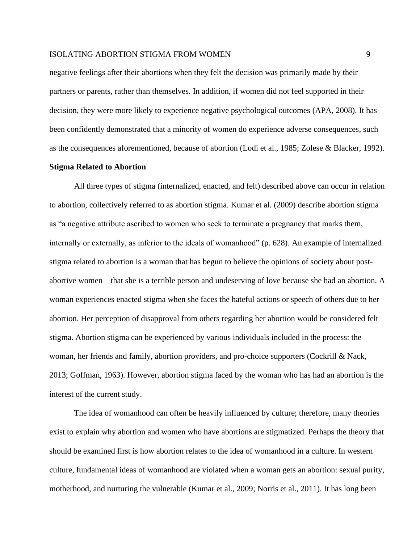negative feelings after their abortions when they felt the decision was primarily made by their partners or parents, rather than themselves. In addition, if women did not feel supported in their decision, they were more likely to experience negative psychological outcomes (APA, 2008). It has been confidently demonstrated that a minority of women do experience adverse consequences, such as the consequences aforementioned, because of abortion (Lodi et al., 1985; Zolese & Blacker, 1992).

#### **Stigma Related to Abortion**

All three types of stigma (internalized, enacted, and felt) described above can occur in relation to abortion, collectively referred to as abortion stigma. Kumar et al. (2009) describe abortion stigma as "a negative attribute ascribed to women who seek to terminate a pregnancy that marks them, internally or externally, as inferior to the ideals of womanhood" (p. 628). An example of internalized stigma related to abortion is a woman that has begun to believe the opinions of society about postabortive women – that she is a terrible person and undeserving of love because she had an abortion. A woman experiences enacted stigma when she faces the hateful actions or speech of others due to her abortion. Her perception of disapproval from others regarding her abortion would be considered felt stigma. Abortion stigma can be experienced by various individuals included in the process: the woman, her friends and family, abortion providers, and pro-choice supporters (Cockrill & Nack, 2013; Goffman, 1963). However, abortion stigma faced by the woman who has had an abortion is the interest of the current study.

The idea of womanhood can often be heavily influenced by culture; therefore, many theories exist to explain why abortion and women who have abortions are stigmatized. Perhaps the theory that should be examined first is how abortion relates to the idea of womanhood in a culture. In western culture, fundamental ideas of womanhood are violated when a woman gets an abortion: sexual purity, motherhood, and nurturing the vulnerable (Kumar et al., 2009; Norris et al., 2011). It has long been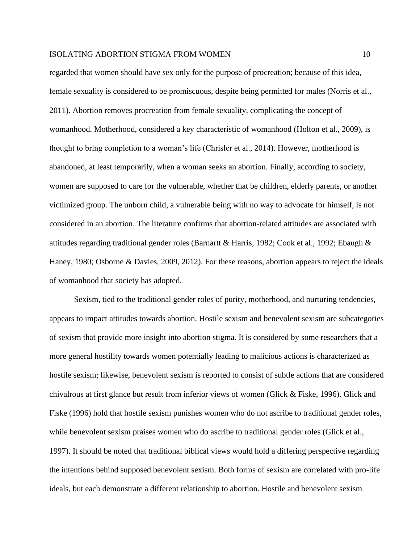regarded that women should have sex only for the purpose of procreation; because of this idea, female sexuality is considered to be promiscuous, despite being permitted for males (Norris et al., 2011). Abortion removes procreation from female sexuality, complicating the concept of womanhood. Motherhood, considered a key characteristic of womanhood (Holton et al., 2009), is thought to bring completion to a woman's life (Chrisler et al., 2014). However, motherhood is abandoned, at least temporarily, when a woman seeks an abortion. Finally, according to society, women are supposed to care for the vulnerable, whether that be children, elderly parents, or another victimized group. The unborn child, a vulnerable being with no way to advocate for himself, is not considered in an abortion. The literature confirms that abortion-related attitudes are associated with attitudes regarding traditional gender roles (Barnartt & Harris, 1982; Cook et al., 1992; Ebaugh & Haney, 1980; Osborne & Davies, 2009, 2012). For these reasons, abortion appears to reject the ideals of womanhood that society has adopted.

Sexism, tied to the traditional gender roles of purity, motherhood, and nurturing tendencies, appears to impact attitudes towards abortion. Hostile sexism and benevolent sexism are subcategories of sexism that provide more insight into abortion stigma. It is considered by some researchers that a more general hostility towards women potentially leading to malicious actions is characterized as hostile sexism; likewise, benevolent sexism is reported to consist of subtle actions that are considered chivalrous at first glance but result from inferior views of women (Glick & Fiske, 1996). Glick and Fiske (1996) hold that hostile sexism punishes women who do not ascribe to traditional gender roles, while benevolent sexism praises women who do ascribe to traditional gender roles (Glick et al., 1997). It should be noted that traditional biblical views would hold a differing perspective regarding the intentions behind supposed benevolent sexism. Both forms of sexism are correlated with pro-life ideals, but each demonstrate a different relationship to abortion. Hostile and benevolent sexism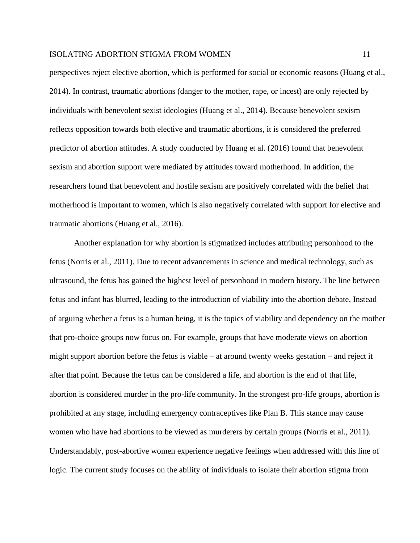perspectives reject elective abortion, which is performed for social or economic reasons (Huang et al., 2014). In contrast, traumatic abortions (danger to the mother, rape, or incest) are only rejected by individuals with benevolent sexist ideologies (Huang et al., 2014). Because benevolent sexism reflects opposition towards both elective and traumatic abortions, it is considered the preferred predictor of abortion attitudes. A study conducted by Huang et al. (2016) found that benevolent sexism and abortion support were mediated by attitudes toward motherhood. In addition, the researchers found that benevolent and hostile sexism are positively correlated with the belief that motherhood is important to women, which is also negatively correlated with support for elective and traumatic abortions (Huang et al., 2016).

Another explanation for why abortion is stigmatized includes attributing personhood to the fetus (Norris et al., 2011). Due to recent advancements in science and medical technology, such as ultrasound, the fetus has gained the highest level of personhood in modern history. The line between fetus and infant has blurred, leading to the introduction of viability into the abortion debate. Instead of arguing whether a fetus is a human being, it is the topics of viability and dependency on the mother that pro-choice groups now focus on. For example, groups that have moderate views on abortion might support abortion before the fetus is viable – at around twenty weeks gestation – and reject it after that point. Because the fetus can be considered a life, and abortion is the end of that life, abortion is considered murder in the pro-life community. In the strongest pro-life groups, abortion is prohibited at any stage, including emergency contraceptives like Plan B. This stance may cause women who have had abortions to be viewed as murderers by certain groups (Norris et al., 2011). Understandably, post-abortive women experience negative feelings when addressed with this line of logic. The current study focuses on the ability of individuals to isolate their abortion stigma from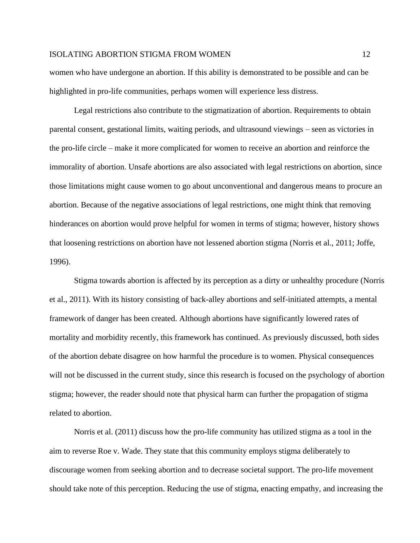women who have undergone an abortion. If this ability is demonstrated to be possible and can be highlighted in pro-life communities, perhaps women will experience less distress.

Legal restrictions also contribute to the stigmatization of abortion. Requirements to obtain parental consent, gestational limits, waiting periods, and ultrasound viewings – seen as victories in the pro-life circle – make it more complicated for women to receive an abortion and reinforce the immorality of abortion. Unsafe abortions are also associated with legal restrictions on abortion, since those limitations might cause women to go about unconventional and dangerous means to procure an abortion. Because of the negative associations of legal restrictions, one might think that removing hinderances on abortion would prove helpful for women in terms of stigma; however, history shows that loosening restrictions on abortion have not lessened abortion stigma (Norris et al., 2011; Joffe, 1996).

Stigma towards abortion is affected by its perception as a dirty or unhealthy procedure (Norris et al., 2011). With its history consisting of back-alley abortions and self-initiated attempts, a mental framework of danger has been created. Although abortions have significantly lowered rates of mortality and morbidity recently, this framework has continued. As previously discussed, both sides of the abortion debate disagree on how harmful the procedure is to women. Physical consequences will not be discussed in the current study, since this research is focused on the psychology of abortion stigma; however, the reader should note that physical harm can further the propagation of stigma related to abortion.

Norris et al. (2011) discuss how the pro-life community has utilized stigma as a tool in the aim to reverse Roe v. Wade. They state that this community employs stigma deliberately to discourage women from seeking abortion and to decrease societal support. The pro-life movement should take note of this perception. Reducing the use of stigma, enacting empathy, and increasing the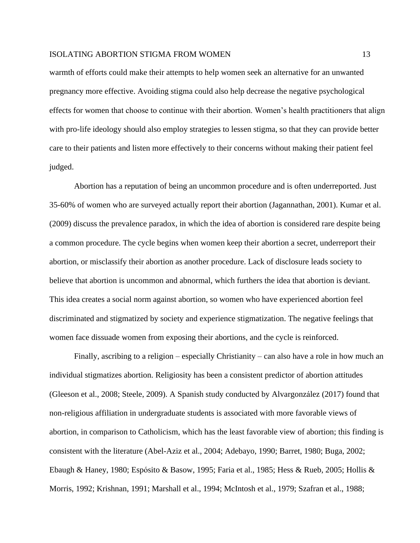warmth of efforts could make their attempts to help women seek an alternative for an unwanted pregnancy more effective. Avoiding stigma could also help decrease the negative psychological effects for women that choose to continue with their abortion. Women's health practitioners that align with pro-life ideology should also employ strategies to lessen stigma, so that they can provide better care to their patients and listen more effectively to their concerns without making their patient feel judged.

Abortion has a reputation of being an uncommon procedure and is often underreported. Just 35-60% of women who are surveyed actually report their abortion (Jagannathan, 2001). Kumar et al. (2009) discuss the prevalence paradox, in which the idea of abortion is considered rare despite being a common procedure. The cycle begins when women keep their abortion a secret, underreport their abortion, or misclassify their abortion as another procedure. Lack of disclosure leads society to believe that abortion is uncommon and abnormal, which furthers the idea that abortion is deviant. This idea creates a social norm against abortion, so women who have experienced abortion feel discriminated and stigmatized by society and experience stigmatization. The negative feelings that women face dissuade women from exposing their abortions, and the cycle is reinforced.

Finally, ascribing to a religion – especially Christianity – can also have a role in how much an individual stigmatizes abortion. Religiosity has been a consistent predictor of abortion attitudes (Gleeson et al., 2008; Steele, 2009). A Spanish study conducted by Alvargonzález (2017) found that non-religious affiliation in undergraduate students is associated with more favorable views of abortion, in comparison to Catholicism, which has the least favorable view of abortion; this finding is consistent with the literature (Abel-Aziz et al., 2004; Adebayo, 1990; Barret, 1980; Buga, 2002; Ebaugh & Haney, 1980; Espósito & Basow, 1995; Faria et al., 1985; Hess & Rueb, 2005; Hollis & Morris, 1992; Krishnan, 1991; Marshall et al., 1994; McIntosh et al., 1979; Szafran et al., 1988;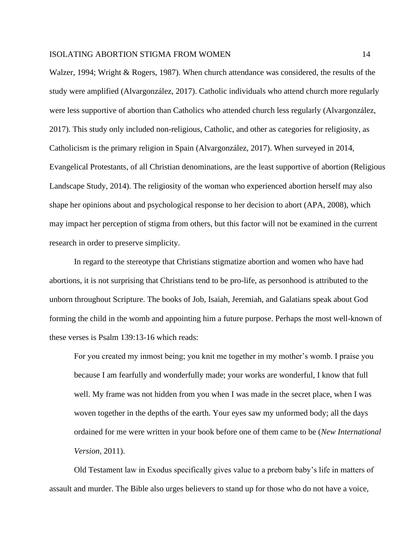Walzer, 1994; Wright & Rogers, 1987). When church attendance was considered, the results of the study were amplified (Alvargonzález, 2017). Catholic individuals who attend church more regularly were less supportive of abortion than Catholics who attended church less regularly (Alvargonzález, 2017). This study only included non-religious, Catholic, and other as categories for religiosity, as Catholicism is the primary religion in Spain (Alvargonzález, 2017). When surveyed in 2014, Evangelical Protestants, of all Christian denominations, are the least supportive of abortion (Religious Landscape Study, 2014). The religiosity of the woman who experienced abortion herself may also shape her opinions about and psychological response to her decision to abort (APA, 2008), which may impact her perception of stigma from others, but this factor will not be examined in the current research in order to preserve simplicity.

In regard to the stereotype that Christians stigmatize abortion and women who have had abortions, it is not surprising that Christians tend to be pro-life, as personhood is attributed to the unborn throughout Scripture. The books of Job, Isaiah, Jeremiah, and Galatians speak about God forming the child in the womb and appointing him a future purpose. Perhaps the most well-known of these verses is Psalm 139:13-16 which reads:

For you created my inmost being; you knit me together in my mother's womb. I praise you because I am fearfully and wonderfully made; your works are wonderful, I know that full well. My frame was not hidden from you when I was made in the secret place, when I was woven together in the depths of the earth. Your eyes saw my unformed body; all the days ordained for me were written in your book before one of them came to be (*New International Version,* 2011).

Old Testament law in Exodus specifically gives value to a preborn baby's life in matters of assault and murder. The Bible also urges believers to stand up for those who do not have a voice,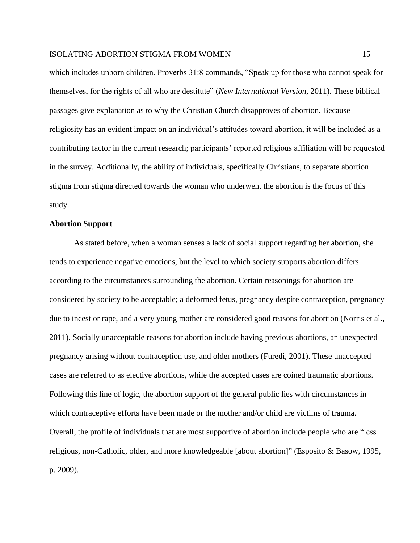which includes unborn children. Proverbs 31:8 commands, "Speak up for those who cannot speak for themselves, for the rights of all who are destitute" (*New International Version,* 2011). These biblical passages give explanation as to why the Christian Church disapproves of abortion. Because religiosity has an evident impact on an individual's attitudes toward abortion, it will be included as a contributing factor in the current research; participants' reported religious affiliation will be requested in the survey. Additionally, the ability of individuals, specifically Christians, to separate abortion stigma from stigma directed towards the woman who underwent the abortion is the focus of this study.

## **Abortion Support**

As stated before, when a woman senses a lack of social support regarding her abortion, she tends to experience negative emotions, but the level to which society supports abortion differs according to the circumstances surrounding the abortion. Certain reasonings for abortion are considered by society to be acceptable; a deformed fetus, pregnancy despite contraception, pregnancy due to incest or rape, and a very young mother are considered good reasons for abortion (Norris et al., 2011). Socially unacceptable reasons for abortion include having previous abortions, an unexpected pregnancy arising without contraception use, and older mothers (Furedi, 2001). These unaccepted cases are referred to as elective abortions, while the accepted cases are coined traumatic abortions. Following this line of logic, the abortion support of the general public lies with circumstances in which contraceptive efforts have been made or the mother and/or child are victims of trauma. Overall, the profile of individuals that are most supportive of abortion include people who are "less religious, non-Catholic, older, and more knowledgeable [about abortion]" (Esposito & Basow, 1995, p. 2009).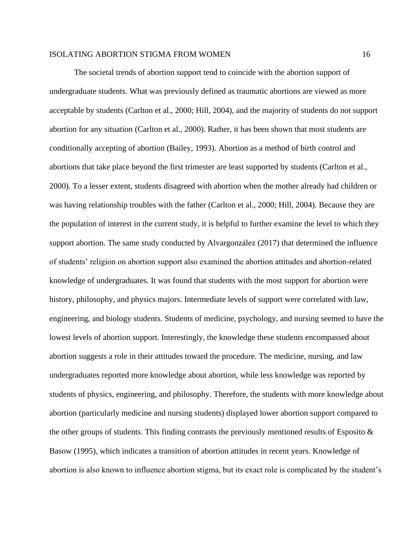The societal trends of abortion support tend to coincide with the abortion support of undergraduate students. What was previously defined as traumatic abortions are viewed as more acceptable by students (Carlton et al., 2000; Hill, 2004), and the majority of students do not support abortion for any situation (Carlton et al., 2000). Rather, it has been shown that most students are conditionally accepting of abortion (Bailey, 1993). Abortion as a method of birth control and abortions that take place beyond the first trimester are least supported by students (Carlton et al., 2000). To a lesser extent, students disagreed with abortion when the mother already had children or was having relationship troubles with the father (Carlton et al., 2000; Hill, 2004). Because they are the population of interest in the current study, it is helpful to further examine the level to which they support abortion. The same study conducted by Alvargonzález (2017) that determined the influence of students' religion on abortion support also examined the abortion attitudes and abortion-related knowledge of undergraduates. It was found that students with the most support for abortion were history, philosophy, and physics majors. Intermediate levels of support were correlated with law, engineering, and biology students. Students of medicine, psychology, and nursing seemed to have the lowest levels of abortion support. Interestingly, the knowledge these students encompassed about abortion suggests a role in their attitudes toward the procedure. The medicine, nursing, and law undergraduates reported more knowledge about abortion, while less knowledge was reported by students of physics, engineering, and philosophy. Therefore, the students with more knowledge about abortion (particularly medicine and nursing students) displayed lower abortion support compared to the other groups of students. This finding contrasts the previously mentioned results of Esposito  $\&$ Basow (1995), which indicates a transition of abortion attitudes in recent years. Knowledge of abortion is also known to influence abortion stigma, but its exact role is complicated by the student's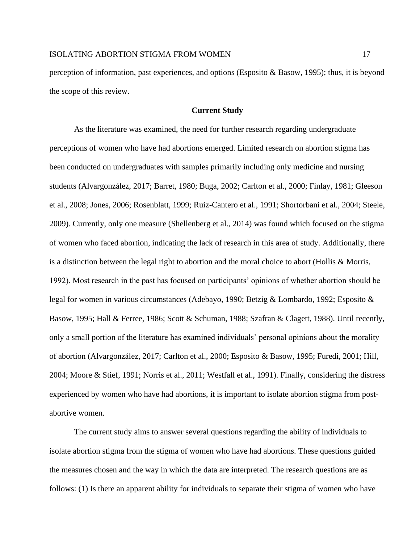perception of information, past experiences, and options (Esposito & Basow, 1995); thus, it is beyond the scope of this review.

## **Current Study**

As the literature was examined, the need for further research regarding undergraduate perceptions of women who have had abortions emerged. Limited research on abortion stigma has been conducted on undergraduates with samples primarily including only medicine and nursing students (Alvargonzález, 2017; Barret, 1980; Buga, 2002; Carlton et al., 2000; Finlay, 1981; Gleeson et al., 2008; Jones, 2006; Rosenblatt, 1999; Ruiz-Cantero et al., 1991; Shortorbani et al., 2004; Steele, 2009). Currently, only one measure (Shellenberg et al., 2014) was found which focused on the stigma of women who faced abortion, indicating the lack of research in this area of study. Additionally, there is a distinction between the legal right to abortion and the moral choice to abort (Hollis & Morris, 1992). Most research in the past has focused on participants' opinions of whether abortion should be legal for women in various circumstances (Adebayo, 1990; Betzig & Lombardo, 1992; Esposito & Basow, 1995; Hall & Ferree, 1986; Scott & Schuman, 1988; Szafran & Clagett, 1988). Until recently, only a small portion of the literature has examined individuals' personal opinions about the morality of abortion (Alvargonzález, 2017; Carlton et al., 2000; Esposito & Basow, 1995; Furedi, 2001; Hill, 2004; Moore & Stief, 1991; Norris et al., 2011; Westfall et al., 1991). Finally, considering the distress experienced by women who have had abortions, it is important to isolate abortion stigma from postabortive women.

The current study aims to answer several questions regarding the ability of individuals to isolate abortion stigma from the stigma of women who have had abortions. These questions guided the measures chosen and the way in which the data are interpreted. The research questions are as follows: (1) Is there an apparent ability for individuals to separate their stigma of women who have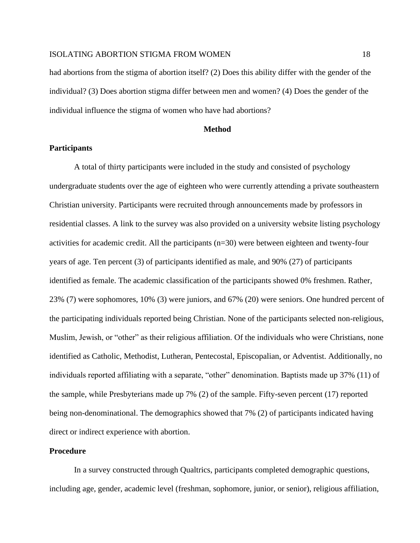had abortions from the stigma of abortion itself? (2) Does this ability differ with the gender of the individual? (3) Does abortion stigma differ between men and women? (4) Does the gender of the individual influence the stigma of women who have had abortions?

## **Method**

## **Participants**

A total of thirty participants were included in the study and consisted of psychology undergraduate students over the age of eighteen who were currently attending a private southeastern Christian university. Participants were recruited through announcements made by professors in residential classes. A link to the survey was also provided on a university website listing psychology activities for academic credit. All the participants (n=30) were between eighteen and twenty-four years of age. Ten percent (3) of participants identified as male, and 90% (27) of participants identified as female. The academic classification of the participants showed 0% freshmen. Rather, 23% (7) were sophomores, 10% (3) were juniors, and 67% (20) were seniors. One hundred percent of the participating individuals reported being Christian. None of the participants selected non-religious, Muslim, Jewish, or "other" as their religious affiliation. Of the individuals who were Christians, none identified as Catholic, Methodist, Lutheran, Pentecostal, Episcopalian, or Adventist. Additionally, no individuals reported affiliating with a separate, "other" denomination. Baptists made up 37% (11) of the sample, while Presbyterians made up 7% (2) of the sample. Fifty-seven percent (17) reported being non-denominational. The demographics showed that 7% (2) of participants indicated having direct or indirect experience with abortion.

## **Procedure**

In a survey constructed through Qualtrics, participants completed demographic questions, including age, gender, academic level (freshman, sophomore, junior, or senior), religious affiliation,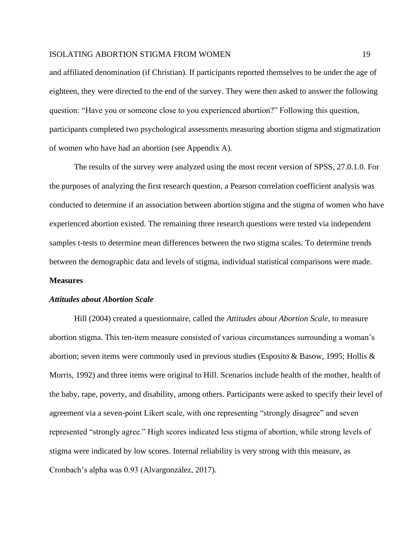and affiliated denomination (if Christian). If participants reported themselves to be under the age of eighteen, they were directed to the end of the survey. They were then asked to answer the following question: "Have you or someone close to you experienced abortion?" Following this question, participants completed two psychological assessments measuring abortion stigma and stigmatization of women who have had an abortion (see Appendix A).

The results of the survey were analyzed using the most recent version of SPSS, 27.0.1.0. For the purposes of analyzing the first research question, a Pearson correlation coefficient analysis was conducted to determine if an association between abortion stigma and the stigma of women who have experienced abortion existed. The remaining three research questions were tested via independent samples t-tests to determine mean differences between the two stigma scales. To determine trends between the demographic data and levels of stigma, individual statistical comparisons were made.

## **Measures**

#### *Attitudes about Abortion Scale*

Hill (2004) created a questionnaire, called the *Attitudes about Abortion Scale*, to measure abortion stigma. This ten-item measure consisted of various circumstances surrounding a woman's abortion; seven items were commonly used in previous studies (Esposito & Basow, 1995; Hollis & Morris, 1992) and three items were original to Hill. Scenarios include health of the mother, health of the baby, rape, poverty, and disability, among others. Participants were asked to specify their level of agreement via a seven-point Likert scale, with one representing "strongly disagree" and seven represented "strongly agree." High scores indicated less stigma of abortion, while strong levels of stigma were indicated by low scores. Internal reliability is very strong with this measure, as Cronbach's alpha was 0.93 (Alvargonzález, 2017).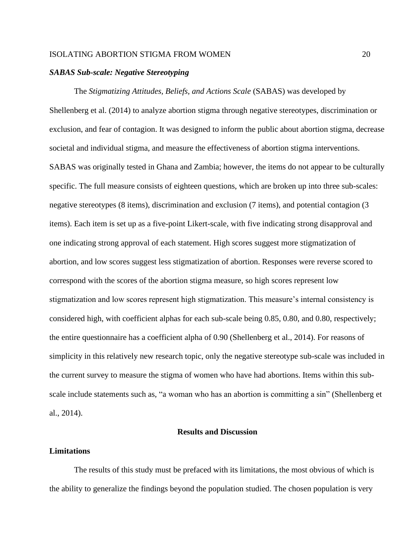#### *SABAS Sub-scale: Negative Stereotyping*

The *Stigmatizing Attitudes, Beliefs, and Actions Scale* (SABAS) was developed by Shellenberg et al. (2014) to analyze abortion stigma through negative stereotypes, discrimination or exclusion, and fear of contagion. It was designed to inform the public about abortion stigma, decrease societal and individual stigma, and measure the effectiveness of abortion stigma interventions. SABAS was originally tested in Ghana and Zambia; however, the items do not appear to be culturally specific. The full measure consists of eighteen questions, which are broken up into three sub-scales: negative stereotypes (8 items), discrimination and exclusion (7 items), and potential contagion (3 items). Each item is set up as a five-point Likert-scale, with five indicating strong disapproval and one indicating strong approval of each statement. High scores suggest more stigmatization of abortion, and low scores suggest less stigmatization of abortion. Responses were reverse scored to correspond with the scores of the abortion stigma measure, so high scores represent low stigmatization and low scores represent high stigmatization. This measure's internal consistency is considered high, with coefficient alphas for each sub-scale being 0.85, 0.80, and 0.80, respectively; the entire questionnaire has a coefficient alpha of 0.90 (Shellenberg et al., 2014). For reasons of simplicity in this relatively new research topic, only the negative stereotype sub-scale was included in the current survey to measure the stigma of women who have had abortions. Items within this subscale include statements such as, "a woman who has an abortion is committing a sin" (Shellenberg et al., 2014).

## **Results and Discussion**

#### **Limitations**

The results of this study must be prefaced with its limitations, the most obvious of which is the ability to generalize the findings beyond the population studied. The chosen population is very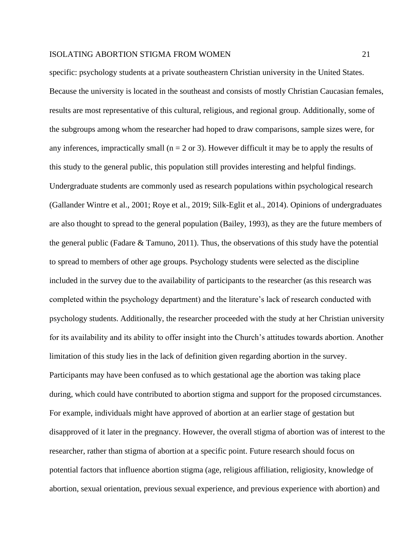specific: psychology students at a private southeastern Christian university in the United States. Because the university is located in the southeast and consists of mostly Christian Caucasian females, results are most representative of this cultural, religious, and regional group. Additionally, some of the subgroups among whom the researcher had hoped to draw comparisons, sample sizes were, for any inferences, impractically small ( $n = 2$  or 3). However difficult it may be to apply the results of this study to the general public, this population still provides interesting and helpful findings. Undergraduate students are commonly used as research populations within psychological research (Gallander Wintre et al., 2001; Roye et al., 2019; Silk-Eglit et al., 2014). Opinions of undergraduates are also thought to spread to the general population (Bailey, 1993), as they are the future members of the general public (Fadare & Tamuno, 2011). Thus, the observations of this study have the potential to spread to members of other age groups. Psychology students were selected as the discipline included in the survey due to the availability of participants to the researcher (as this research was completed within the psychology department) and the literature's lack of research conducted with psychology students. Additionally, the researcher proceeded with the study at her Christian university for its availability and its ability to offer insight into the Church's attitudes towards abortion. Another limitation of this study lies in the lack of definition given regarding abortion in the survey. Participants may have been confused as to which gestational age the abortion was taking place during, which could have contributed to abortion stigma and support for the proposed circumstances. For example, individuals might have approved of abortion at an earlier stage of gestation but disapproved of it later in the pregnancy. However, the overall stigma of abortion was of interest to the researcher, rather than stigma of abortion at a specific point. Future research should focus on potential factors that influence abortion stigma (age, religious affiliation, religiosity, knowledge of abortion, sexual orientation, previous sexual experience, and previous experience with abortion) and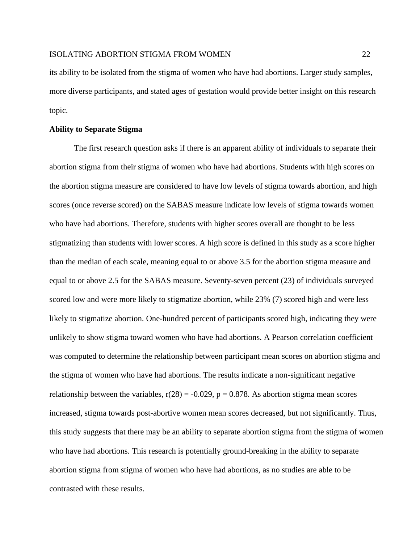its ability to be isolated from the stigma of women who have had abortions. Larger study samples, more diverse participants, and stated ages of gestation would provide better insight on this research topic.

## **Ability to Separate Stigma**

The first research question asks if there is an apparent ability of individuals to separate their abortion stigma from their stigma of women who have had abortions. Students with high scores on the abortion stigma measure are considered to have low levels of stigma towards abortion, and high scores (once reverse scored) on the SABAS measure indicate low levels of stigma towards women who have had abortions. Therefore, students with higher scores overall are thought to be less stigmatizing than students with lower scores. A high score is defined in this study as a score higher than the median of each scale, meaning equal to or above 3.5 for the abortion stigma measure and equal to or above 2.5 for the SABAS measure. Seventy-seven percent (23) of individuals surveyed scored low and were more likely to stigmatize abortion, while 23% (7) scored high and were less likely to stigmatize abortion. One-hundred percent of participants scored high, indicating they were unlikely to show stigma toward women who have had abortions. A Pearson correlation coefficient was computed to determine the relationship between participant mean scores on abortion stigma and the stigma of women who have had abortions. The results indicate a non-significant negative relationship between the variables,  $r(28) = -0.029$ ,  $p = 0.878$ . As abortion stigma mean scores increased, stigma towards post-abortive women mean scores decreased, but not significantly. Thus, this study suggests that there may be an ability to separate abortion stigma from the stigma of women who have had abortions. This research is potentially ground-breaking in the ability to separate abortion stigma from stigma of women who have had abortions, as no studies are able to be contrasted with these results.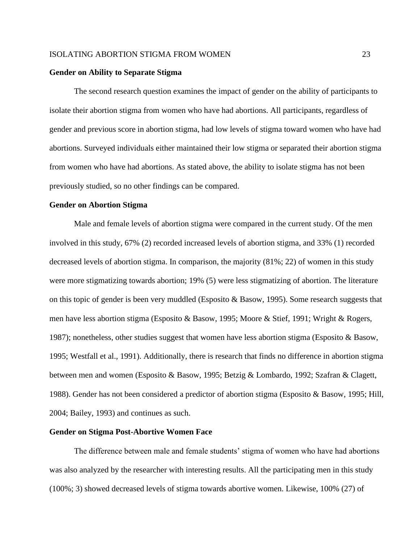#### **Gender on Ability to Separate Stigma**

The second research question examines the impact of gender on the ability of participants to isolate their abortion stigma from women who have had abortions. All participants, regardless of gender and previous score in abortion stigma, had low levels of stigma toward women who have had abortions. Surveyed individuals either maintained their low stigma or separated their abortion stigma from women who have had abortions. As stated above, the ability to isolate stigma has not been previously studied, so no other findings can be compared.

#### **Gender on Abortion Stigma**

Male and female levels of abortion stigma were compared in the current study. Of the men involved in this study, 67% (2) recorded increased levels of abortion stigma, and 33% (1) recorded decreased levels of abortion stigma. In comparison, the majority (81%; 22) of women in this study were more stigmatizing towards abortion; 19% (5) were less stigmatizing of abortion. The literature on this topic of gender is been very muddled (Esposito & Basow, 1995). Some research suggests that men have less abortion stigma (Esposito & Basow, 1995; Moore & Stief, 1991; Wright & Rogers, 1987); nonetheless, other studies suggest that women have less abortion stigma (Esposito & Basow, 1995; Westfall et al., 1991). Additionally, there is research that finds no difference in abortion stigma between men and women (Esposito & Basow, 1995; Betzig & Lombardo, 1992; Szafran & Clagett, 1988). Gender has not been considered a predictor of abortion stigma (Esposito & Basow, 1995; Hill, 2004; Bailey, 1993) and continues as such.

#### **Gender on Stigma Post-Abortive Women Face**

The difference between male and female students' stigma of women who have had abortions was also analyzed by the researcher with interesting results. All the participating men in this study (100%; 3) showed decreased levels of stigma towards abortive women. Likewise, 100% (27) of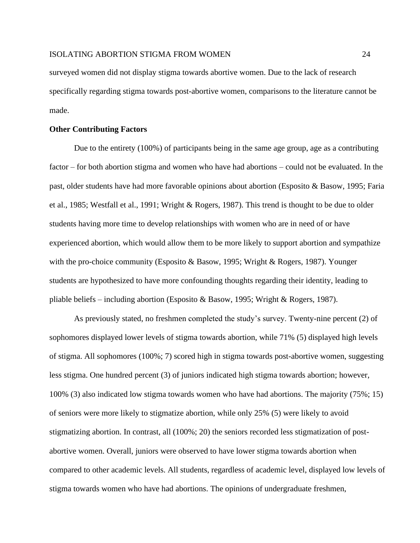surveyed women did not display stigma towards abortive women. Due to the lack of research specifically regarding stigma towards post-abortive women, comparisons to the literature cannot be made.

## **Other Contributing Factors**

Due to the entirety (100%) of participants being in the same age group, age as a contributing factor – for both abortion stigma and women who have had abortions – could not be evaluated. In the past, older students have had more favorable opinions about abortion (Esposito & Basow, 1995; Faria et al., 1985; Westfall et al., 1991; Wright & Rogers, 1987). This trend is thought to be due to older students having more time to develop relationships with women who are in need of or have experienced abortion, which would allow them to be more likely to support abortion and sympathize with the pro-choice community (Esposito & Basow, 1995; Wright & Rogers, 1987). Younger students are hypothesized to have more confounding thoughts regarding their identity, leading to pliable beliefs – including abortion (Esposito & Basow, 1995; Wright & Rogers, 1987).

As previously stated, no freshmen completed the study's survey. Twenty-nine percent (2) of sophomores displayed lower levels of stigma towards abortion, while 71% (5) displayed high levels of stigma. All sophomores (100%; 7) scored high in stigma towards post-abortive women, suggesting less stigma. One hundred percent (3) of juniors indicated high stigma towards abortion; however, 100% (3) also indicated low stigma towards women who have had abortions. The majority (75%; 15) of seniors were more likely to stigmatize abortion, while only 25% (5) were likely to avoid stigmatizing abortion. In contrast, all (100%; 20) the seniors recorded less stigmatization of postabortive women. Overall, juniors were observed to have lower stigma towards abortion when compared to other academic levels. All students, regardless of academic level, displayed low levels of stigma towards women who have had abortions. The opinions of undergraduate freshmen,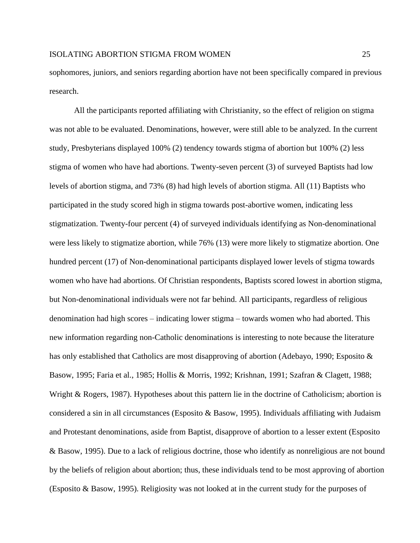sophomores, juniors, and seniors regarding abortion have not been specifically compared in previous research.

All the participants reported affiliating with Christianity, so the effect of religion on stigma was not able to be evaluated. Denominations, however, were still able to be analyzed. In the current study, Presbyterians displayed 100% (2) tendency towards stigma of abortion but 100% (2) less stigma of women who have had abortions. Twenty-seven percent (3) of surveyed Baptists had low levels of abortion stigma, and 73% (8) had high levels of abortion stigma. All (11) Baptists who participated in the study scored high in stigma towards post-abortive women, indicating less stigmatization. Twenty-four percent (4) of surveyed individuals identifying as Non-denominational were less likely to stigmatize abortion, while 76% (13) were more likely to stigmatize abortion. One hundred percent (17) of Non-denominational participants displayed lower levels of stigma towards women who have had abortions. Of Christian respondents, Baptists scored lowest in abortion stigma, but Non-denominational individuals were not far behind. All participants, regardless of religious denomination had high scores – indicating lower stigma – towards women who had aborted. This new information regarding non-Catholic denominations is interesting to note because the literature has only established that Catholics are most disapproving of abortion (Adebayo, 1990; Esposito & Basow, 1995; Faria et al., 1985; Hollis & Morris, 1992; Krishnan, 1991; Szafran & Clagett, 1988; Wright & Rogers, 1987). Hypotheses about this pattern lie in the doctrine of Catholicism; abortion is considered a sin in all circumstances (Esposito & Basow, 1995). Individuals affiliating with Judaism and Protestant denominations, aside from Baptist, disapprove of abortion to a lesser extent (Esposito & Basow, 1995). Due to a lack of religious doctrine, those who identify as nonreligious are not bound by the beliefs of religion about abortion; thus, these individuals tend to be most approving of abortion (Esposito & Basow, 1995). Religiosity was not looked at in the current study for the purposes of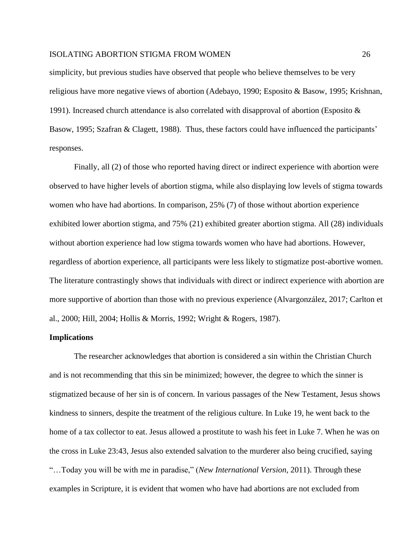simplicity, but previous studies have observed that people who believe themselves to be very religious have more negative views of abortion (Adebayo, 1990; Esposito & Basow, 1995; Krishnan, 1991). Increased church attendance is also correlated with disapproval of abortion (Esposito  $\&$ Basow, 1995; Szafran & Clagett, 1988). Thus, these factors could have influenced the participants' responses.

Finally, all (2) of those who reported having direct or indirect experience with abortion were observed to have higher levels of abortion stigma, while also displaying low levels of stigma towards women who have had abortions. In comparison, 25% (7) of those without abortion experience exhibited lower abortion stigma, and 75% (21) exhibited greater abortion stigma. All (28) individuals without abortion experience had low stigma towards women who have had abortions. However, regardless of abortion experience, all participants were less likely to stigmatize post-abortive women. The literature contrastingly shows that individuals with direct or indirect experience with abortion are more supportive of abortion than those with no previous experience (Alvargonzález, 2017; Carlton et al., 2000; Hill, 2004; Hollis & Morris, 1992; Wright & Rogers, 1987).

#### **Implications**

The researcher acknowledges that abortion is considered a sin within the Christian Church and is not recommending that this sin be minimized; however, the degree to which the sinner is stigmatized because of her sin is of concern. In various passages of the New Testament, Jesus shows kindness to sinners, despite the treatment of the religious culture. In Luke 19, he went back to the home of a tax collector to eat. Jesus allowed a prostitute to wash his feet in Luke 7. When he was on the cross in Luke 23:43, Jesus also extended salvation to the murderer also being crucified, saying "…Today you will be with me in paradise," (*New International Version,* 2011). Through these examples in Scripture, it is evident that women who have had abortions are not excluded from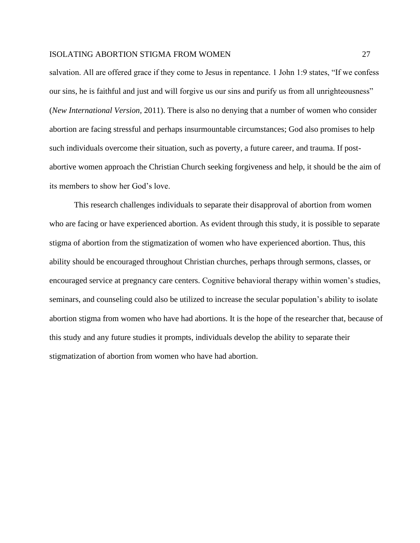salvation. All are offered grace if they come to Jesus in repentance. 1 John 1:9 states, "If we confess our sins, he is faithful and just and will forgive us our sins and purify us from all unrighteousness" (*New International Version,* 2011). There is also no denying that a number of women who consider abortion are facing stressful and perhaps insurmountable circumstances; God also promises to help such individuals overcome their situation, such as poverty, a future career, and trauma. If postabortive women approach the Christian Church seeking forgiveness and help, it should be the aim of its members to show her God's love.

This research challenges individuals to separate their disapproval of abortion from women who are facing or have experienced abortion. As evident through this study, it is possible to separate stigma of abortion from the stigmatization of women who have experienced abortion. Thus, this ability should be encouraged throughout Christian churches, perhaps through sermons, classes, or encouraged service at pregnancy care centers. Cognitive behavioral therapy within women's studies, seminars, and counseling could also be utilized to increase the secular population's ability to isolate abortion stigma from women who have had abortions. It is the hope of the researcher that, because of this study and any future studies it prompts, individuals develop the ability to separate their stigmatization of abortion from women who have had abortion.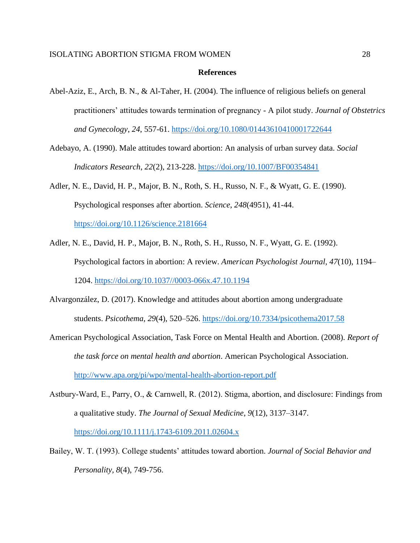#### **References**

- Abel-Aziz, E., Arch, B. N., & Al-Taher, H. (2004). The influence of religious beliefs on general practitioners' attitudes towards termination of pregnancy - A pilot study. *Journal of Obstetrics and Gynecology*, *24*, 557-61.<https://doi.org/10.1080/01443610410001722644>
- Adebayo, A. (1990). Male attitudes toward abortion: An analysis of urban survey data. *Social Indicators Research*, *22*(2), 213-228. <https://doi.org/10.1007/BF00354841>
- Adler, N. E., David, H. P., Major, B. N., Roth, S. H., Russo, N. F., & Wyatt, G. E. (1990). Psychological responses after abortion. *Science*, *248*(4951), 41-44.

<https://doi.org/10.1126/science.2181664>

- Adler, N. E., David, H. P., Major, B. N., Roth, S. H., Russo, N. F., Wyatt, G. E. (1992). Psychological factors in abortion: A review. *American Psychologist Journal, 47*(10), 1194– 1204. [https://doi.org/10.1037//0003-066x.47.10.1194](https://doi.org/10.1037/0003-066x.47.10.1194)
- Alvargonzález, D. (2017). Knowledge and attitudes about abortion among undergraduate students. *Psicothema*, *29*(4), 520–526.<https://doi.org/10.7334/psicothema2017.58>
- American Psychological Association, Task Force on Mental Health and Abortion. (2008). *Report of the task force on mental health and abortion*. American Psychological Association. <http://www.apa.org/pi/wpo/mental-health-abortion-report.pdf>
- Astbury‐Ward, E., Parry, O., & Carnwell, R. (2012). Stigma, abortion, and disclosure: Findings from a qualitative study. *The Journal of Sexual Medicine*, *9*(12), 3137–3147. <https://doi.org/10.1111/j.1743-6109.2011.02604.x>
- Bailey, W. T. (1993). College students' attitudes toward abortion. *Journal of Social Behavior and Personality, 8*(4), 749-756.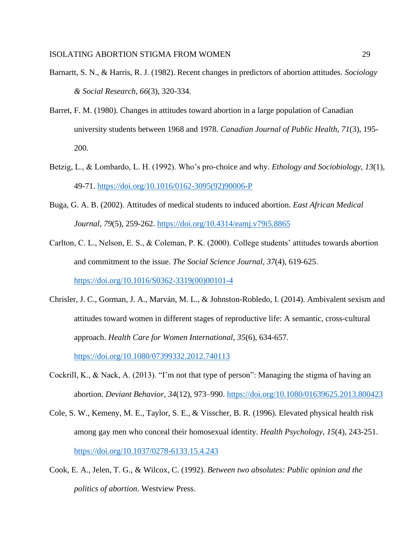- Barnartt, S. N., & Harris, R. J. (1982). Recent changes in predictors of abortion attitudes. *Sociology & Social Research*, *66*(3), 320-334.
- Barret, F. M. (1980). Changes in attitudes toward abortion in a large population of Canadian university students between 1968 and 1978. *Canadian Journal of Public Health*, *71*(3), 195- 200.
- Betzig, L., & Lombardo, L. H. (1992). Who's pro-choice and why. *Ethology and Sociobiology, 13*(1), 49-71. [https://doi.org/10.1016/0162-3095\(92\)90006-P](https://doi.org/10.1016/0162-3095(92)90006-P)
- Buga, G. A. B. (2002). Attitudes of medical students to induced abortion. *East African Medical Journal*, *79*(5), 259-262. <https://doi.org/10.4314/eamj.v79i5.8865>
- Carlton, C. L., Nelson, E. S., & Coleman, P. K. (2000). College students' attitudes towards abortion and commitment to the issue. *The Social Science Journal, 37*(4), 619-625. [https://doi.org/10.1016/S0362-3319\(00\)00101-4](https://doi.org/10.1016/S0362-3319(00)00101-4)
- Chrisler, J. C., Gorman, J. A., Marván, M. L., & Johnston-Robledo, I. (2014). Ambivalent sexism and attitudes toward women in different stages of reproductive life: A semantic, cross-cultural approach. *Health Care for Women International*, *35*(6), 634-657. <https://doi.org/10.1080/07399332.2012.740113>
- Cockrill, K., & Nack, A. (2013). "I'm not that type of person": Managing the stigma of having an abortion. *Deviant Behavior*, *34*(12), 973–990.<https://doi.org/10.1080/01639625.2013.800423>
- Cole, S. W., Kemeny, M. E., Taylor, S. E., & Visscher, B. R. (1996). Elevated physical health risk among gay men who conceal their homosexual identity. *Health Psychology*, *15*(4), 243-251. <https://doi.org/10.1037/0278-6133.15.4.243>
- Cook, E. A., Jelen, T. G., & Wilcox, C. (1992). *Between two absolutes: Public opinion and the politics of abortion*. Westview Press.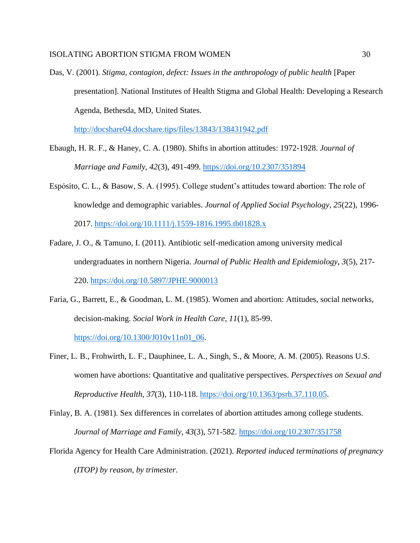Das, V. (2001). *Stigma, contagion, defect: Issues in the anthropology of public health* [Paper presentation]. National Institutes of Health Stigma and Global Health: Developing a Research Agenda, Bethesda, MD, United States.

<http://docshare04.docshare.tips/files/13843/138431942.pdf>

- Ebaugh, H. R. F., & Haney, C. A. (1980). Shifts in abortion attitudes: 1972-1928. *Journal of Marriage and Family*, *42*(3), 491-499. <https://doi.org/10.2307/351894>
- Espósito, C. L., & Basow, S. A. (1995). College student's attitudes toward abortion: The role of knowledge and demographic variables. *Journal of Applied Social Psychology*, *25*(22), 1996- 2017. <https://doi.org/10.1111/j.1559-1816.1995.tb01828.x>
- Fadare, J. O., & Tamuno, I. (2011). Antibiotic self-medication among university medical undergraduates in northern Nigeria. *Journal of Public Health and Epidemiology, 3*(5), 217- 220. <https://doi.org/10.5897/JPHE.9000013>
- Faria, G., Barrett, E., & Goodman, L. M. (1985). Women and abortion: Attitudes, social networks, decision-making. *Social Work in Health Care*, *11*(1), 85-99. [https://doi.org/10.1300/J010v11n01\\_06.](https://doi.org/10.1300/J010v11n01_06)
- Finer, L. B., Frohwirth, L. F., Dauphinee, L. A., Singh, S., & Moore, A. M. (2005). Reasons U.S. women have abortions: Quantitative and qualitative perspectives. *Perspectives on Sexual and Reproductive Health, 37*(3), 110-118. [https://doi.org/10.1363/psrh.37.110.05.](https://doi.org/10.1363/psrh.37.110.05)
- Finlay, B. A. (1981). Sex differences in correlates of abortion attitudes among college students. *Journal of Marriage and Family, 43*(3), 571-582. <https://doi.org/10.2307/351758>
- Florida Agency for Health Care Administration. (2021). *Reported induced terminations of pregnancy (ITOP) by reason, by trimester*.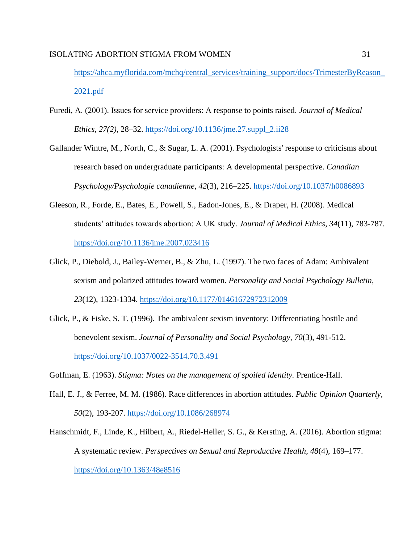[https://ahca.myflorida.com/mchq/central\\_services/training\\_support/docs/TrimesterByReason\\_](https://ahca.myflorida.com/mchq/central_services/training_support/docs/TrimesterByReason_2021.pdf) [2021.pdf](https://ahca.myflorida.com/mchq/central_services/training_support/docs/TrimesterByReason_2021.pdf)

- Furedi, A. (2001). Issues for service providers: A response to points raised. *Journal of Medical Ethics*, *27(2)*, 28–32. [https://doi.org/10.1136/jme.27.suppl\\_2.ii28](https://doi.org/10.1136/jme.27.suppl_2.ii28)
- Gallander Wintre, M., North, C., & Sugar, L. A. (2001). Psychologists' response to criticisms about research based on undergraduate participants: A developmental perspective. *Canadian Psychology/Psychologie canadienne*, *42*(3), 216–225.<https://doi.org/10.1037/h0086893>
- Gleeson, R., Forde, E., Bates, E., Powell, S., Eadon-Jones, E., & Draper, H. (2008). Medical students' attitudes towards abortion: A UK study. *Journal of Medical Ethics*, *34*(11), 783-787. <https://doi.org/10.1136/jme.2007.023416>
- Glick, P., Diebold, J., Bailey-Werner, B., & Zhu, L. (1997). The two faces of Adam: Ambivalent sexism and polarized attitudes toward women. *Personality and Social Psychology Bulletin*, *23*(12), 1323-1334.<https://doi.org/10.1177/01461672972312009>
- Glick, P., & Fiske, S. T. (1996). The ambivalent sexism inventory: Differentiating hostile and benevolent sexism. *Journal of Personality and Social Psychology*, *70*(3), 491-512. <https://doi.org/10.1037/0022-3514.70.3.491>
- Goffman, E. (1963). *Stigma: Notes on the management of spoiled identity.* Prentice-Hall.
- Hall, E. J., & Ferree, M. M. (1986). Race differences in abortion attitudes. *Public Opinion Quarterly*, *50*(2), 193-207. <https://doi.org/10.1086/268974>
- Hanschmidt, F., Linde, K., Hilbert, A., Riedel-Heller, S. G., & Kersting, A. (2016). Abortion stigma: A systematic review. *Perspectives on Sexual and Reproductive Health*, *48*(4), 169–177. <https://doi.org/10.1363/48e8516>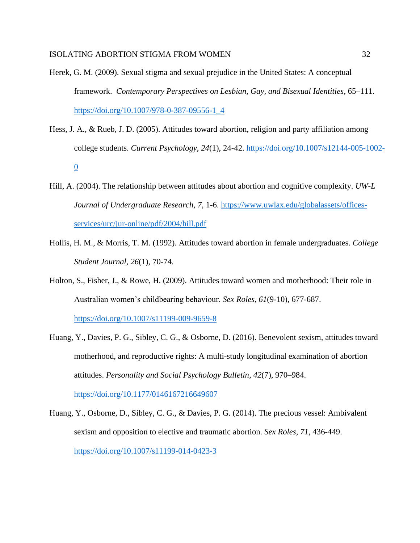- Herek, G. M. (2009). Sexual stigma and sexual prejudice in the United States: A conceptual framework. *Contemporary Perspectives on Lesbian, Gay, and Bisexual Identities*, 65–111. [https://doi.org/10.1007/978-0-387-09556-1\\_4](https://doi.org/10.1007/978-0-387-09556-1_4)
- Hess, J. A., & Rueb, J. D. (2005). Attitudes toward abortion, religion and party affiliation among college students. *Current Psychology*, *24*(1), 24-42. [https://doi.org/10.1007/s12144-005-1002-](https://doi.org/10.1007/s12144-005-1002-0) [0](https://doi.org/10.1007/s12144-005-1002-0)
- Hill, A. (2004). The relationship between attitudes about abortion and cognitive complexity. *UW-L Journal of Undergraduate Research, 7*, 1-6. [https://www.uwlax.edu/globalassets/offices](https://www.uwlax.edu/globalassets/offices-services/urc/jur-online/pdf/2004/hill.pdf)[services/urc/jur-online/pdf/2004/hill.pdf](https://www.uwlax.edu/globalassets/offices-services/urc/jur-online/pdf/2004/hill.pdf)
- Hollis, H. M., & Morris, T. M. (1992). Attitudes toward abortion in female undergraduates. *College Student Journal, 26*(1), 70-74.
- Holton, S., Fisher, J., & Rowe, H. (2009). Attitudes toward women and motherhood: Their role in Australian women's childbearing behaviour. *Sex Roles*, *61*(9-10), 677-687. <https://doi.org/10.1007/s11199-009-9659-8>
- Huang, Y., Davies, P. G., Sibley, C. G., & Osborne, D. (2016). Benevolent sexism, attitudes toward motherhood, and reproductive rights: A multi-study longitudinal examination of abortion attitudes. *Personality and Social Psychology Bulletin*, *42*(7), 970–984. <https://doi.org/10.1177/0146167216649607>
- Huang, Y., Osborne, D., Sibley, C. G., & Davies, P. G. (2014). The precious vessel: Ambivalent sexism and opposition to elective and traumatic abortion. *Sex Roles, 71*, 436-449. <https://doi.org/10.1007/s11199-014-0423-3>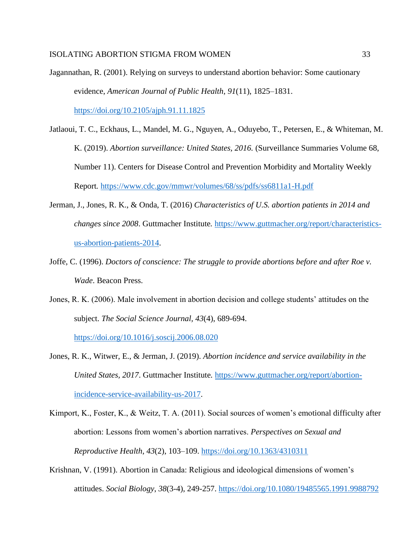Jagannathan, R. (2001). Relying on surveys to understand abortion behavior: Some cautionary evidence, *American Journal of Public Health*, *91*(11), 1825–1831.

<https://doi.org/10.2105/ajph.91.11.1825>

- Jatlaoui, T. C., Eckhaus, L., Mandel, M. G., Nguyen, A., Oduyebo, T., Petersen, E., & Whiteman, M. K. (2019). *Abortion surveillance: United States, 2016.* (Surveillance Summaries Volume 68, Number 11). Centers for Disease Control and Prevention Morbidity and Mortality Weekly Report*.* <https://www.cdc.gov/mmwr/volumes/68/ss/pdfs/ss6811a1-H.pdf>
- Jerman, J., Jones, R. K., & Onda, T. (2016) *Characteristics of U.S. abortion patients in 2014 and changes since 2008*. Guttmacher Institute*.* [https://www.guttmacher.org/report/characteristics](https://www.guttmacher.org/report/characteristics-us-abortion-patients-2014)[us-abortion-patients-2014.](https://www.guttmacher.org/report/characteristics-us-abortion-patients-2014)
- Joffe, C. (1996). *Doctors of conscience: The struggle to provide abortions before and after Roe v. Wade*. Beacon Press.
- Jones, R. K. (2006). Male involvement in abortion decision and college students' attitudes on the subject. *The Social Science Journal, 43*(4), 689-694.

<https://doi.org/10.1016/j.soscij.2006.08.020>

- Jones, R. K., Witwer, E., & Jerman, J. (2019). *Abortion incidence and service availability in the United States, 2017*. Guttmacher Institute*.* [https://www.guttmacher.org/report/abortion](https://www.guttmacher.org/report/abortion-incidence-service-availability-us-2017)[incidence-service-availability-us-2017.](https://www.guttmacher.org/report/abortion-incidence-service-availability-us-2017)
- Kimport, K., Foster, K., & Weitz, T. A. (2011). Social sources of women's emotional difficulty after abortion: Lessons from women's abortion narratives. *Perspectives on Sexual and Reproductive Health*, *43*(2), 103–109.<https://doi.org/10.1363/4310311>
- Krishnan, V. (1991). Abortion in Canada: Religious and ideological dimensions of women's attitudes. *Social Biology*, *38*(3-4), 249-257. <https://doi.org/10.1080/19485565.1991.9988792>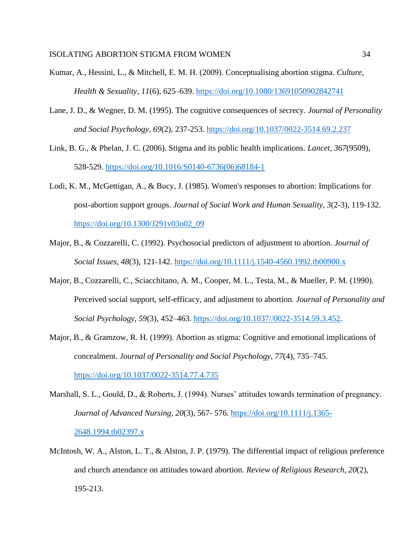- Kumar, A., Hessini, L., & Mitchell, E. M. H. (2009). Conceptualising abortion stigma. *Culture, Health & Sexuality*, *11*(6), 625–639.<https://doi.org/10.1080/13691050902842741>
- Lane, J. D., & Wegner, D. M. (1995). The cognitive consequences of secrecy. *Journal of Personality and Social Psychology, 69*(2)*,* 237-253.<https://doi.org/10.1037/0022-3514.69.2.237>
- Link, B. G., & Phelan, J. C. (2006). Stigma and its public health implications. *Lancet*, *367*(9509), 528-529. [https://doi.org/10.1016/S0140-6736\(06\)68184-1](https://doi.org/10.1016/S0140-6736(06)68184-1)
- Lodi, K. M., McGettigan, A., & Bucy, J. (1985). Women's responses to abortion: Implications for post-abortion support groups. *Journal of Social Work and Human Sexuality*, *3*(2-3), 119-132. [https://doi.org/10.1300/J291v03n02\\_09](https://doi.org/10.1300/J291v03n02_09)
- Major, B., & Cozzarelli, C. (1992). Psychosocial predictors of adjustment to abortion. *Journal of Social Issues*, *48*(3), 121-142. <https://doi.org/10.1111/j.1540-4560.1992.tb00900.x>
- Major, B., Cozzarelli, C., Sciacchitano, A. M., Cooper, M. L., Testa, M., & Mueller, P. M. (1990). Perceived social support, self-efficacy, and adjustment to abortion. *Journal of Personality and Social Psychology*, *59*(3), 452–463. [https://doi.org/10.1037//0022-3514.59.3.452.](https://doi.org/10.1037/0022-3514.59.3.452)
- Major, B., & Gramzow, R. H. (1999). Abortion as stigma: Cognitive and emotional implications of concealment. *Journal of Personality and Social Psychology*, *77*(4), 735–745. <https://doi.org/10.1037/0022-3514.77.4.735>
- Marshall, S. L., Gould, D., & Roberts, J. (1994). Nurses' attitudes towards termination of pregnancy. *Journal of Advanced Nursing*, *20*(3), 567- 576. [https://doi.org/10.1111/j.1365-](https://doi.org/10.1111/j.1365-2648.1994.tb02397.x) [2648.1994.tb02397.x](https://doi.org/10.1111/j.1365-2648.1994.tb02397.x)
- McIntosh, W. A., Alston, L. T., & Alston, J. P. (1979). The differential impact of religious preference and church attendance on attitudes toward abortion. *Review of Religious Research*, *20*(2), 195-213.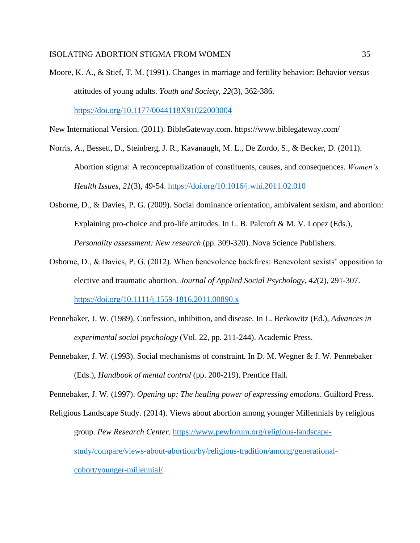Moore, K. A., & Stief, T. M. (1991). Changes in marriage and fertility behavior: Behavior versus attitudes of young adults. *Youth and Society, 22*(3), 362-386.

<https://doi.org/10.1177/0044118X91022003004>

New International Version. (2011). BibleGateway.com. https://www.biblegateway.com/

- Norris, A., Bessett, D., Steinberg, J. R., Kavanaugh, M. L., De Zordo, S., & Becker, D. (2011). Abortion stigma: A reconceptualization of constituents, causes, and consequences. *Women's Health Issues*, *21*(3), 49-54.<https://doi.org/10.1016/j.whi.2011.02.010>
- Osborne, D., & Davies, P. G. (2009). Social dominance orientation, ambivalent sexism, and abortion: Explaining pro-choice and pro-life attitudes. In L. B. Palcroft & M. V. Lopez (Eds.), *Personality assessment: New research* (pp. 309-320). Nova Science Publishers.
- Osborne, D., & Davies, P. G. (2012). When benevolence backfires: Benevolent sexists' opposition to elective and traumatic abortion*. Journal of Applied Social Psychology*, *42*(2), 291-307. <https://doi.org/10.1111/j.1559-1816.2011.00890.x>
- Pennebaker, J. W. (1989). Confession, inhibition, and disease. In L. Berkowitz (Ed.), *Advances in experimental social psychology* (Vol. 22, pp. 211-244). Academic Press.
- Pennebaker, J. W. (1993). Social mechanisms of constraint. In D. M. Wegner & J. W. Pennebaker (Eds.), *Handbook of mental control* (pp. 200-219). Prentice Hall.

Pennebaker, J. W. (1997). *Opening up: The healing power of expressing emotions*. Guilford Press.

Religious Landscape Study. (2014). Views about abortion among younger Millennials by religious group. *Pew Research Center.* [https://www.pewforum.org/religious-landscape](https://www.pewforum.org/religious-landscape-study/compare/views-about-abortion/by/religious-tradition/among/generational-cohort/younger-millennial/)[study/compare/views-about-abortion/by/religious-tradition/among/generational](https://www.pewforum.org/religious-landscape-study/compare/views-about-abortion/by/religious-tradition/among/generational-cohort/younger-millennial/)[cohort/younger-millennial/](https://www.pewforum.org/religious-landscape-study/compare/views-about-abortion/by/religious-tradition/among/generational-cohort/younger-millennial/)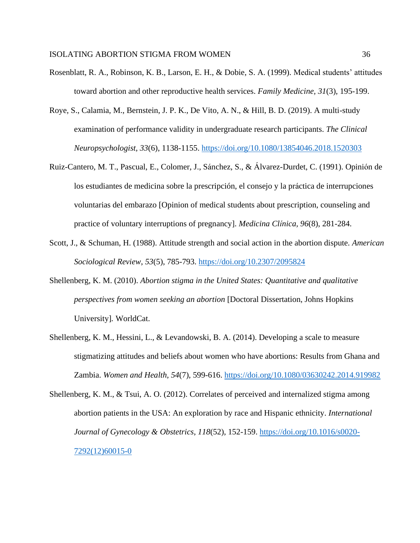- Rosenblatt, R. A., Robinson, K. B., Larson, E. H., & Dobie, S. A. (1999). Medical students' attitudes toward abortion and other reproductive health services. *Family Medicine, 31*(3), 195-199.
- Roye, S., Calamia, M., Bernstein, J. P. K., De Vito, A. N., & Hill, B. D. (2019). A multi-study examination of performance validity in undergraduate research participants. *The Clinical Neuropsychologist, 33*(6), 1138-1155. <https://doi.org/10.1080/13854046.2018.1520303>
- Ruiz-Cantero, M. T., Pascual, E., Colomer, J., Sánchez, S., & Álvarez-Durdet, C. (1991). Opinión de los estudiantes de medicina sobre la prescripción, el consejo y la práctica de interrupciones voluntarias del embarazo [Opinion of medical students about prescription, counseling and practice of voluntary interruptions of pregnancy]. *Medicina Clínica, 96*(8), 281-284.
- Scott, J., & Schuman, H. (1988). Attitude strength and social action in the abortion dispute. *American Sociological Review*, *53*(5), 785-793. <https://doi.org/10.2307/2095824>
- Shellenberg, K. M. (2010). *Abortion stigma in the United States: Quantitative and qualitative perspectives from women seeking an abortion* [Doctoral Dissertation, Johns Hopkins University]*.* WorldCat.
- Shellenberg, K. M., Hessini, L., & Levandowski, B. A. (2014). Developing a scale to measure stigmatizing attitudes and beliefs about women who have abortions: Results from Ghana and Zambia. *Women and Health, 54*(7), 599-616. <https://doi.org/10.1080/03630242.2014.919982>
- Shellenberg, K. M., & Tsui, A. O. (2012). Correlates of perceived and internalized stigma among abortion patients in the USA: An exploration by race and Hispanic ethnicity. *International Journal of Gynecology & Obstetrics*, *118*(52), 152-159. [https://doi.org/10.1016/s0020-](https://doi.org/10.1016/s0020-7292(12)60015-0) [7292\(12\)60015-0](https://doi.org/10.1016/s0020-7292(12)60015-0)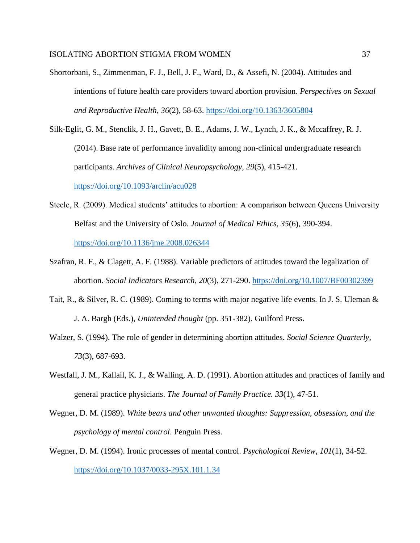- Shortorbani, S., Zimmenman, F. J., Bell, J. F., Ward, D., & Assefi, N. (2004). Attitudes and intentions of future health care providers toward abortion provision. *Perspectives on Sexual and Reproductive Health, 36*(2), 58-63.<https://doi.org/10.1363/3605804>
- Silk-Eglit, G. M., Stenclik, J. H., Gavett, B. E., Adams, J. W., Lynch, J. K., & Mccaffrey, R. J. (2014). Base rate of performance invalidity among non-clinical undergraduate research participants. *Archives of Clinical Neuropsychology, 29*(5), 415-421.

<https://doi.org/10.1093/arclin/acu028>

- Steele, R. (2009). Medical students' attitudes to abortion: A comparison between Queens University Belfast and the University of Oslo. *Journal of Medical Ethics*, *35*(6), 390-394. <https://doi.org/10.1136/jme.2008.026344>
- Szafran, R. F., & Clagett, A. F. (1988). Variable predictors of attitudes toward the legalization of abortion. *Social Indicators Research*, *20*(3), 271-290. <https://doi.org/10.1007/BF00302399>
- Tait, R., & Silver, R. C. (1989). Coming to terms with major negative life events. In J. S. Uleman & J. A. Bargh (Eds.), *Unintended thought* (pp. 351-382). Guilford Press.
- Walzer, S. (1994). The role of gender in determining abortion attitudes. *Social Science Quarterly*, *73*(3), 687-693.
- Westfall, J. M., Kallail, K. J., & Walling, A. D. (1991). Abortion attitudes and practices of family and general practice physicians. *The Journal of Family Practice. 33*(1), 47-51.
- Wegner, D. M. (1989). *White bears and other unwanted thoughts: Suppression, obsession, and the psychology of mental control*. Penguin Press.
- Wegner, D. M. (1994). Ironic processes of mental control. *Psychological Review*, *101*(1), 34-52. <https://doi.org/10.1037/0033-295X.101.1.34>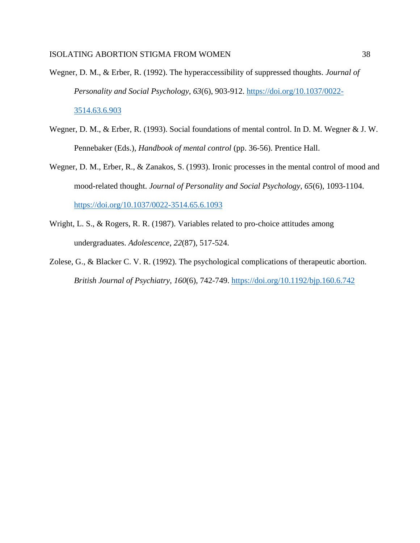- Wegner, D. M., & Erber, R. (1992). The hyperaccessibility of suppressed thoughts. *Journal of Personality and Social Psychology*, *63*(6), 903-912. [https://doi.org/10.1037/0022-](https://doi.org/10.1037/0022-3514.63.6.903) [3514.63.6.903](https://doi.org/10.1037/0022-3514.63.6.903)
- Wegner, D. M., & Erber, R. (1993). Social foundations of mental control. In D. M. Wegner & J. W. Pennebaker (Eds.), *Handbook of mental control* (pp. 36-56). Prentice Hall.
- Wegner, D. M., Erber, R., & Zanakos, S. (1993). Ironic processes in the mental control of mood and mood-related thought. *Journal of Personality and Social Psychology*, *65*(6), 1093-1104. <https://doi.org/10.1037/0022-3514.65.6.1093>
- Wright, L. S., & Rogers, R. R. (1987). Variables related to pro-choice attitudes among undergraduates. *Adolescence*, *22*(87), 517-524.
- Zolese, G., & Blacker C. V. R. (1992). The psychological complications of therapeutic abortion. *British Journal of Psychiatry*, *160*(6), 742-749.<https://doi.org/10.1192/bjp.160.6.742>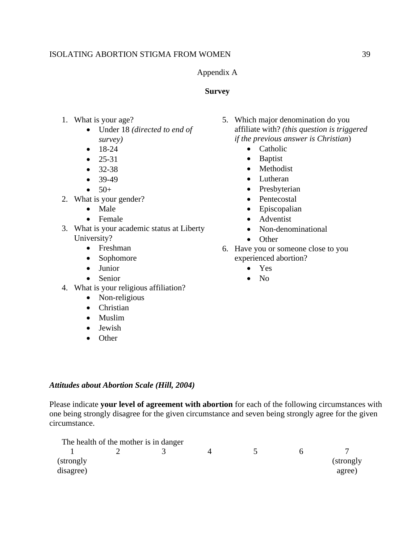## Appendix A

## **Survey**

- 1. What is your age?
	- Under 18 *(directed to end of survey)*
	- 18-24
	- $25-31$
	- $32-38$
	- $39-49$
	- $50+$
- 2. What is your gender?
	- Male
	- Female
- 3. What is your academic status at Liberty University?
	- Freshman
	- Sophomore
	- Junior
	- Senior
- 4. What is your religious affiliation?
	- Non-religious
	- Christian
	- Muslim
	- Jewish
	- Other
- 5. Which major denomination do you affiliate with? *(this question is triggered if the previous answer is Christian*)
	- Catholic
	- Baptist
	- **Methodist**
	- Lutheran
	- Presbyterian
	- Pentecostal
	- Episcopalian
	- Adventist
	- Non-denominational
	- Other
- 6. Have you or someone close to you experienced abortion?
	- Yes
	- No

# *Attitudes about Abortion Scale (Hill, 2004)*

Please indicate **your level of agreement with abortion** for each of the following circumstances with one being strongly disagree for the given circumstance and seven being strongly agree for the given circumstance.

|            | The health of the mother is in danger |  |    |            |
|------------|---------------------------------------|--|----|------------|
|            |                                       |  | n. |            |
| (strongly) |                                       |  |    | (strongly) |
| disagree)  |                                       |  |    | agree)     |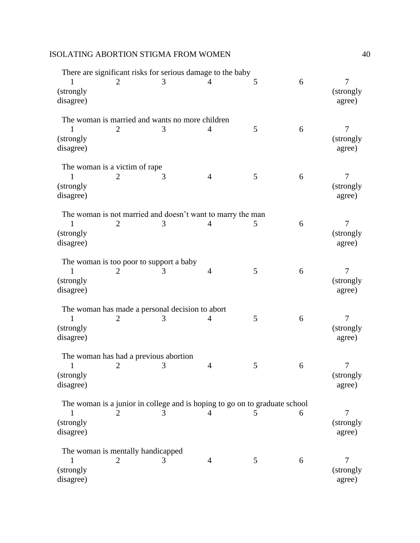|                               |                |                                                 | There are significant risks for serious damage to the baby                 |   |   |                                        |
|-------------------------------|----------------|-------------------------------------------------|----------------------------------------------------------------------------|---|---|----------------------------------------|
| (strongly<br>disagree)        |                | 3                                               |                                                                            | 5 | 6 | 7<br>(strongly)<br>agree)              |
|                               |                |                                                 | The woman is married and wants no more children                            |   |   |                                        |
| ı<br>(strongly<br>disagree)   | 2              | 3                                               | $\overline{4}$                                                             | 5 | 6 | $\overline{7}$<br>(strongly)<br>agree) |
| The woman is a victim of rape |                |                                                 |                                                                            |   |   |                                        |
| (strongly)<br>disagree)       |                | 3                                               | $\overline{4}$                                                             | 5 | 6 | 7<br>(strongly)<br>agree)              |
|                               |                |                                                 | The woman is not married and doesn't want to marry the man                 |   |   |                                        |
| (strongly<br>disagree)        | $\overline{2}$ | 3                                               | $\overline{4}$                                                             | 5 | 6 | 7<br>(strongly)<br>agree)              |
|                               |                | The woman is too poor to support a baby         |                                                                            |   |   |                                        |
| (strongly)<br>disagree)       |                | 3                                               | $\overline{4}$                                                             | 5 | 6 | 7<br>(strongly<br>agree)               |
|                               |                | The woman has made a personal decision to abort |                                                                            |   |   |                                        |
| (strongly<br>disagree)        |                | 3                                               | 4                                                                          | 5 | 6 | 7<br>(strongly)<br>agree)              |
|                               |                | The woman has had a previous abortion           |                                                                            |   |   |                                        |
| (strongly)<br>disagree)       |                | 3                                               | 4                                                                          | 5 | 6 | (strongly)<br>agree)                   |
|                               |                |                                                 | The woman is a junior in college and is hoping to go on to graduate school |   |   |                                        |
| T<br>(strongly<br>disagree)   |                | 3                                               | 4                                                                          | 5 | 6 | 7<br>(strongly)<br>agree)              |
|                               |                | The woman is mentally handicapped               |                                                                            |   |   |                                        |
| (strongly)<br>disagree)       | 2              | 3                                               | $\overline{4}$                                                             | 5 | 6 | $\overline{7}$<br>(strongly)<br>agree) |